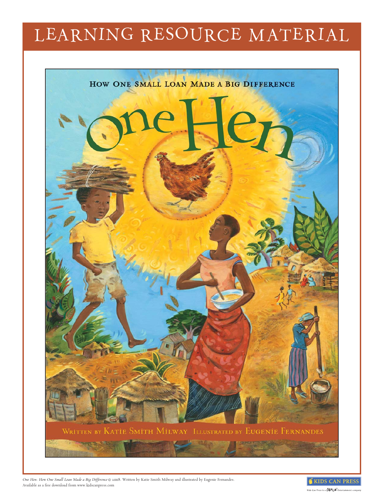# LEARNING RESOURCE MATERIAL



*One Hen: How One Small Loan Made a Big Difference* © 2008. Written by Katie Smith Milway and illustrated by Eugenie Fernandes. Available as a free download from www.kidscanpress.com

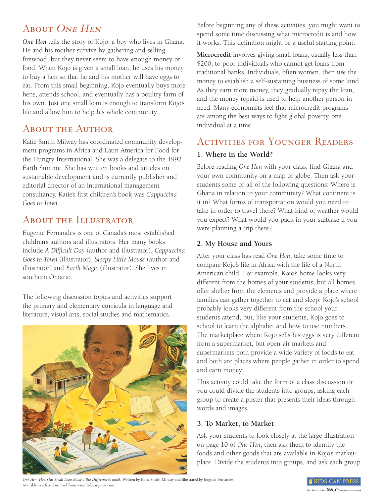# ABOUT ONE HEN

*One Hen* tells the story of Kojo, a boy who lives in Ghana. He and his mother survive by gathering and selling firewood, but they never seem to have enough money or food. When Kojo is given a small loan, he uses his money to buy a hen so that he and his mother will have eggs to eat. From this small beginning, Kojo eventually buys more hens, attends school, and eventually has a poultry farm of his own. Just one small loan is enough to transform Kojo's life and allow him to help his whole community.

# ABOUT THE AUTHOR

Katie Smith Milway has coordinated community development programs in Africa and Latin America for Food for the Hungry International. She was a delegate to the 1992 Earth Summit. She has written books and articles on sustainable development and is currently publisher and editorial director of an international management consultancy. Katie's first children's book was *Cappuccina Goes to Town*.

## About the Illustrator

Eugenie Fernandes is one of Canada's most established children's authors and illustrators. Her many books include *A Difficult Day* (author and illustrator), *Cappuccina Goes to Town* (illustrator), S*leepy Little Mouse* (author and illustrator) and *Earth Magic* (illustrator). She lives in southern Ontario.

The following discussion topics and activities support the primary and elementary curricula in language and literature, visual arts, social studies and mathematics.



Before beginning any of these activities, you might want to spend some time discussing what microcredit is and how it works. This definition might be a useful starting point:

**Microcredit** involves giving small loans, usually less than \$200, to poor individuals who cannot get loans from traditional banks. Individuals, often women, then use the money to establish a self-sustaining business of some kind. As they earn more money, they gradually repay the loan, and the money repaid is used to help another person in need. Many economists feel that microcredit programs are among the best ways to fight global poverty, one individual at a time.

## Activities for Younger Readers

#### **1. Where in the World?**

Before reading *One Hen* with your class, find Ghana and your own community on a map or globe. Then ask your students some or all of the following questions: Where is Ghana in relation to your community? What continent is it in? What forms of transportation would you need to take in order to travel there? What kind of weather would you expect? What would you pack in your suitcase if you were planning a trip there?

## **2. My House and Yours**

After your class has read *One Hen*, take some time to compare Kojo's life in Africa with the life of a North American child. For example, Kojo's home looks very different from the homes of your students, but all homes offer shelter from the elements and provide a place where families can gather together to eat and sleep. Kojo's school probably looks very different from the school your students attend, but, like your students, Kojo goes to school to learn the alphabet and how to use numbers. The marketplace where Kojo sells his eggs is very different from a supermarket, but open-air markets and supermarkets both provide a wide variety of foods to eat and both are places where people gather in order to spend and earn money.

This activity could take the form of a class discussion or you could divide the students into groups, asking each group to create a poster that presents their ideas through words and images.

#### **3. To Market, to Market**

Ask your students to look closely at the large illustration on page 10 of *One Hen*, then ask them to identify the foods and other goods that are available in Kojo's marketplace. Divide the students into groups, and ask each group

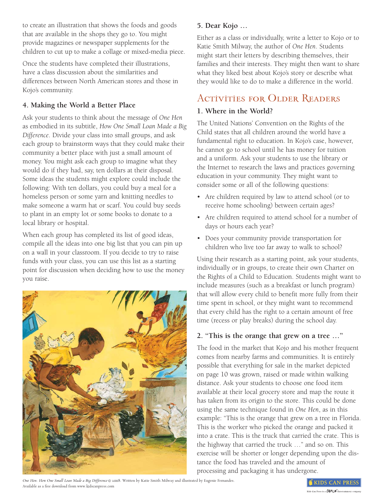to create an illustration that shows the foods and goods that are available in the shops they go to. You might provide magazines or newspaper supplements for the children to cut up to make a collage or mixed-media piece.

Once the students have completed their illustrations, have a class discussion about the similarities and differences between North American stores and those in Kojo's community.

## **4. Making the World a Better Place**

Ask your students to think about the message of *One Hen* as embodied in its subtitle, *How One Small Loan Made a Big Difference*. Divide your class into small groups, and ask each group to brainstorm ways that they could make their community a better place with just a small amount of money. You might ask each group to imagine what they would do if they had, say, ten dollars at their disposal. Some ideas the students might explore could include the following: With ten dollars, you could buy a meal for a homeless person or some yarn and knitting needles to make someone a warm hat or scarf. You could buy seeds to plant in an empty lot or some books to donate to a local library or hospital.

When each group has completed its list of good ideas, compile all the ideas into one big list that you can pin up on a wall in your classroom. If you decide to try to raise funds with your class, you can use this list as a starting point for discussion when deciding how to use the money you raise.



## **5. Dear Kojo …**

Either as a class or individually, write a letter to Kojo or to Katie Smith Milway, the author of *One Hen*. Students might start their letters by describing themselves, their families and their interests. They might then want to share what they liked best about Kojo's story or describe what they would like to do to make a difference in the world.

## ACTIVITIES FOR OLDER READERS

#### **1. Where in the World?**

The United Nations' Convention on the Rights of the Child states that all children around the world have a fundamental right to education. In Kojo's case, however, he cannot go to school until he has money for tuition and a uniform. Ask your students to use the library or the Internet to research the laws and practices governing education in your community. They might want to consider some or all of the following questions:

- Are children required by law to attend school (or to receive home schooling) between certain ages?
- Are children required to attend school for a number of days or hours each year?
- Does your community provide transportation for children who live too far away to walk to school?

Using their research as a starting point, ask your students, individually or in groups, to create their own Charter on the Rights of a Child to Education. Students might want to include measures (such as a breakfast or lunch program) that will allow every child to benefit more fully from their time spent in school, or they might want to recommend that every child has the right to a certain amount of free time (recess or play breaks) during the school day.

#### **2. "This is the orange that grew on a tree …"**

The food in the market that Kojo and his mother frequent comes from nearby farms and communities. It is entirely possible that everything for sale in the market depicted on page 10 was grown, raised or made within walking distance. Ask your students to choose one food item available at their local grocery store and map the route it has taken from its origin to the store. This could be done using the same technique found in *One Hen*, as in this example: "This is the orange that grew on a tree in Florida. This is the worker who picked the orange and packed it into a crate. This is the truck that carried the crate. This is the highway that carried the truck …" and so on. This exercise will be shorter or longer depending upon the distance the food has traveled and the amount of processing and packaging it has undergone.

*One Hen: How One Small Loan Made a Big Difference* © 2008. Written by Katie Smith Milway and illustrated by Eugenie Fernandes. Available as a free download from www.kidscanpress.com